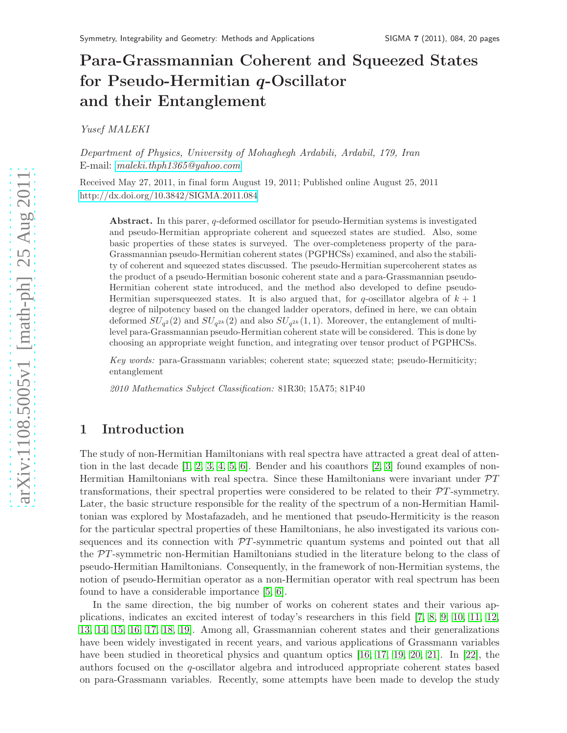# Para-Grassmannian Coherent and Squeezed States for Pseudo-Hermitian q-Oscillator and their Entanglement

*Yusef MALEKI*

*Department of Physics, University of Mohaghegh Ardabili, Ardabil, 179, Iran* E-mail: *[maleki.thph1365@yahoo.com](mailto:maleki.thph1365@yahoo.com)*

Received May 27, 2011, in final form August 19, 2011; Published online August 25, 2011 <http://dx.doi.org/10.3842/SIGMA.2011.084>

Abstract. In this parer, q-deformed oscillator for pseudo-Hermitian systems is investigated and pseudo-Hermitian appropriate coherent and squeezed states are studied. Also, some basic properties of these states is surveyed. The over-completeness property of the para-Grassmannian pseudo-Hermitian coherent states (PGPHCSs) examined, and also the stability of coherent and squeezed states discussed. The pseudo-Hermitian supercoherent states as the product of a pseudo-Hermitian bosonic coherent state and a para-Grassmannian pseudo-Hermitian coherent state introduced, and the method also developed to define pseudo-Hermitian supersqueezed states. It is also argued that, for q-oscillator algebra of  $k + 1$ degree of nilpotency based on the changed ladder operators, defined in here, we can obtain deformed  $SU_{q^2}(2)$  and  $SU_{q^{2k}}(2)$  and also  $SU_{q^{2k}}(1,1)$ . Moreover, the entanglement of multilevel para-Grassmannian pseudo-Hermitian coherent state will be considered. This is done by choosing an appropriate weight function, and integrating over tensor product of PGPHCSs.

*Key words:* para-Grassmann variables; coherent state; squeezed state; pseudo-Hermiticity; entanglement

*2010 Mathematics Subject Classification:* 81R30; 15A75; 81P40

# 1 Introduction

The study of non-Hermitian Hamiltonians with real spectra have attracted a great deal of attention in the last decade  $[1, 2, 3, 4, 5, 6]$  $[1, 2, 3, 4, 5, 6]$  $[1, 2, 3, 4, 5, 6]$  $[1, 2, 3, 4, 5, 6]$  $[1, 2, 3, 4, 5, 6]$  $[1, 2, 3, 4, 5, 6]$ . Bender and his coauthors  $[2, 3]$  $[2, 3]$  found examples of non-Hermitian Hamiltonians with real spectra. Since these Hamiltonians were invariant under  $\mathcal{P}T$ transformations, their spectral properties were considered to be related to their PT-symmetry. Later, the basic structure responsible for the reality of the spectrum of a non-Hermitian Hamiltonian was explored by Mostafazadeh, and he mentioned that pseudo-Hermiticity is the reason for the particular spectral properties of these Hamiltonians, he also investigated its various consequences and its connection with  $\mathcal{P}T$ -symmetric quantum systems and pointed out that all the PT -symmetric non-Hermitian Hamiltonians studied in the literature belong to the class of pseudo-Hermitian Hamiltonians. Consequently, in the framework of non-Hermitian systems, the notion of pseudo-Hermitian operator as a non-Hermitian operator with real spectrum has been found to have a considerable importance [\[5,](#page-18-4) [6\]](#page-18-5).

In the same direction, the big number of works on coherent states and their various applications, indicates an excited interest of today's researchers in this field [\[7,](#page-18-6) [8,](#page-18-7) [9,](#page-18-8) [10,](#page-18-9) [11,](#page-18-10) [12,](#page-18-11) [13,](#page-18-12) [14,](#page-18-13) [15,](#page-18-14) [16,](#page-18-15) [17,](#page-18-16) [18,](#page-19-0) [19\]](#page-19-1). Among all, Grassmannian coherent states and their generalizations have been widely investigated in recent years, and various applications of Grassmann variables have been studied in theoretical physics and quantum optics [\[16,](#page-18-15) [17,](#page-18-16) [19,](#page-19-1) [20,](#page-19-2) [21\]](#page-19-3). In [\[22\]](#page-19-4), the authors focused on the q-oscillator algebra and introduced appropriate coherent states based on para-Grassmann variables. Recently, some attempts have been made to develop the study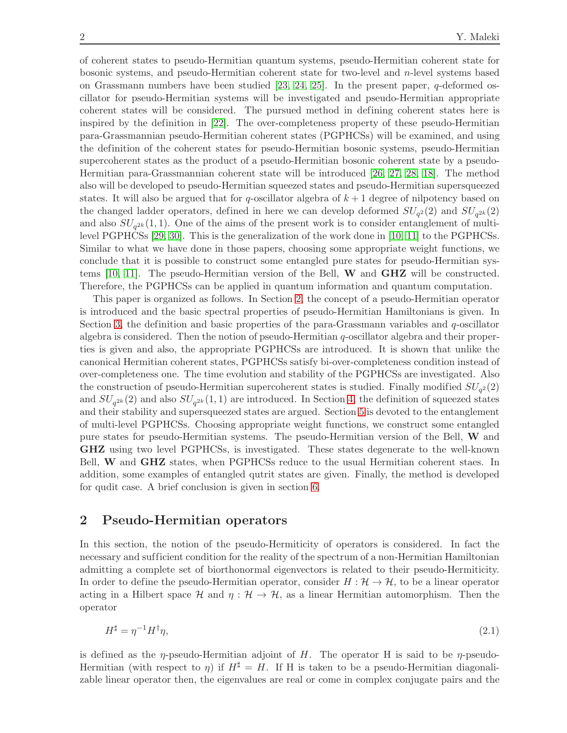of coherent states to pseudo-Hermitian quantum systems, pseudo-Hermitian coherent state for bosonic systems, and pseudo-Hermitian coherent state for two-level and  $n$ -level systems based on Grassmann numbers have been studied  $[23, 24, 25]$  $[23, 24, 25]$  $[23, 24, 25]$ . In the present paper, q-deformed oscillator for pseudo-Hermitian systems will be investigated and pseudo-Hermitian appropriate coherent states will be considered. The pursued method in defining coherent states here is inspired by the definition in [\[22\]](#page-19-4). The over-completeness property of these pseudo-Hermitian para-Grassmannian pseudo-Hermitian coherent states (PGPHCSs) will be examined, and using the definition of the coherent states for pseudo-Hermitian bosonic systems, pseudo-Hermitian supercoherent states as the product of a pseudo-Hermitian bosonic coherent state by a pseudo-Hermitian para-Grassmannian coherent state will be introduced [\[26,](#page-19-8) [27,](#page-19-9) [28,](#page-19-10) [18\]](#page-19-0). The method also will be developed to pseudo-Hermitian squeezed states and pseudo-Hermitian supersqueezed states. It will also be argued that for q-oscillator algebra of  $k+1$  degree of nilpotency based on the changed ladder operators, defined in here we can develop deformed  $SU_{q^2}(2)$  and  $SU_{q^{2k}}(2)$ and also  $SU_{q^{2k}}(1,1)$ . One of the aims of the present work is to consider entanglement of multilevel PGPHCSs [\[29,](#page-19-11) [30\]](#page-19-12). This is the generalization of the work done in [\[10,](#page-18-9) [11\]](#page-18-10) to the PGPHCSs. Similar to what we have done in those papers, choosing some appropriate weight functions, we conclude that it is possible to construct some entangled pure states for pseudo-Hermitian systems [\[10,](#page-18-9) [11\]](#page-18-10). The pseudo-Hermitian version of the Bell, W and GHZ will be constructed. Therefore, the PGPHCSs can be applied in quantum information and quantum computation.

This paper is organized as follows. In Section [2,](#page-1-0) the concept of a pseudo-Hermitian operator is introduced and the basic spectral properties of pseudo-Hermitian Hamiltonians is given. In Section [3,](#page-2-0) the definition and basic properties of the para-Grassmann variables and  $q$ -oscillator algebra is considered. Then the notion of pseudo-Hermitian q-oscillator algebra and their properties is given and also, the appropriate PGPHCSs are introduced. It is shown that unlike the canonical Hermitian coherent states, PGPHCSs satisfy bi-over-completeness condition instead of over-completeness one. The time evolution and stability of the PGPHCSs are investigated. Also the construction of pseudo-Hermitian supercoherent states is studied. Finally modified  $SU_{q^2}(2)$ and  $SU_{q^{2k}}(2)$  and also  $SU_{q^{2k}}(1,1)$  are introduced. In Section [4,](#page-11-0) the definition of squeezed states and their stability and supersqueezed states are argued. Section [5](#page-13-0) is devoted to the entanglement of multi-level PGPHCSs. Choosing appropriate weight functions, we construct some entangled pure states for pseudo-Hermitian systems. The pseudo-Hermitian version of the Bell, W and GHZ using two level PGPHCSs, is investigated. These states degenerate to the well-known Bell, W and GHZ states, when PGPHCSs reduce to the usual Hermitian coherent staes. In addition, some examples of entangled qutrit states are given. Finally, the method is developed for qudit case. A brief conclusion is given in section [6.](#page-18-17)

# <span id="page-1-0"></span>2 Pseudo-Hermitian operators

In this section, the notion of the pseudo-Hermiticity of operators is considered. In fact the necessary and sufficient condition for the reality of the spectrum of a non-Hermitian Hamiltonian admitting a complete set of biorthonormal eigenvectors is related to their pseudo-Hermiticity. In order to define the pseudo-Hermitian operator, consider  $H : \mathcal{H} \to \mathcal{H}$ , to be a linear operator acting in a Hilbert space  $\mathcal H$  and  $\eta : \mathcal H \to \mathcal H$ , as a linear Hermitian automorphism. Then the operator

<span id="page-1-1"></span>
$$
H^{\sharp} = \eta^{-1} H^{\dagger} \eta,\tag{2.1}
$$

is defined as the  $\eta$ -pseudo-Hermitian adjoint of H. The operator H is said to be  $\eta$ -pseudo-Hermitian (with respect to  $\eta$ ) if  $H^{\sharp} = H$ . If H is taken to be a pseudo-Hermitian diagonalizable linear operator then, the eigenvalues are real or come in complex conjugate pairs and the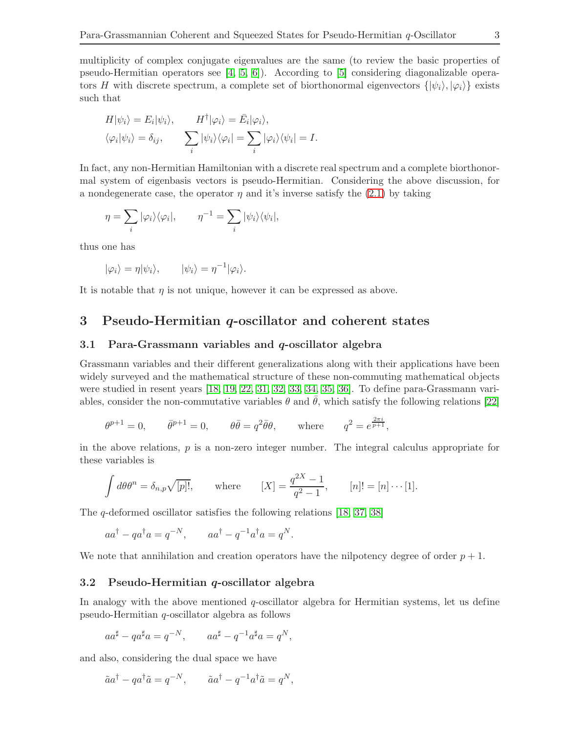multiplicity of complex conjugate eigenvalues are the same (to review the basic properties of pseudo-Hermitian operators see  $[4, 5, 6]$  $[4, 5, 6]$  $[4, 5, 6]$ . According to  $[5]$  considering diagonalizable operators H with discrete spectrum, a complete set of biorthonormal eigenvectors  $\{|\psi_i\rangle, |\varphi_i\rangle\}$  exists such that

$$
H|\psi_i\rangle = E_i|\psi_i\rangle, \qquad H^{\dagger}|\varphi_i\rangle = \bar{E}_i|\varphi_i\rangle, \langle\varphi_i|\psi_i\rangle = \delta_{ij}, \qquad \sum_i |\psi_i\rangle\langle\varphi_i| = \sum_i |\varphi_i\rangle\langle\psi_i| = I.
$$

In fact, any non-Hermitian Hamiltonian with a discrete real spectrum and a complete biorthonormal system of eigenbasis vectors is pseudo-Hermitian. Considering the above discussion, for a nondegenerate case, the operator  $\eta$  and it's inverse satisfy the [\(2.1\)](#page-1-1) by taking

$$
\eta = \sum_{i} |\varphi_i\rangle\langle\varphi_i|, \qquad \eta^{-1} = \sum_{i} |\psi_i\rangle\langle\psi_i|,
$$

thus one has

$$
|\varphi_i\rangle = \eta |\psi_i\rangle, \qquad |\psi_i\rangle = \eta^{-1} |\varphi_i\rangle.
$$

<span id="page-2-0"></span>It is notable that  $\eta$  is not unique, however it can be expressed as above.

# 3 Pseudo-Hermitian q-oscillator and coherent states

## 3.1 Para-Grassmann variables and  $q$ -oscillator algebra

Grassmann variables and their dif ferent generalizations along with their applications have been widely surveyed and the mathematical structure of these non-commuting mathematical objects were studied in resent years [\[18,](#page-19-0) [19,](#page-19-1) [22,](#page-19-4) [31,](#page-19-13) [32,](#page-19-14) [33,](#page-19-15) [34,](#page-19-16) [35,](#page-19-17) [36\]](#page-19-18). To define para-Grassmann variables, consider the non-commutative variables  $\theta$  and  $\bar{\theta}$ , which satisfy the following relations [\[22\]](#page-19-4)

$$
\theta^{p+1} = 0, \qquad \bar{\theta}^{p+1} = 0, \qquad \theta \bar{\theta} = q^2 \bar{\theta} \theta, \qquad \text{where} \qquad q^2 = e^{\frac{2\pi i}{p+1}},
$$

in the above relations,  $p$  is a non-zero integer number. The integral calculus appropriate for these variables is

$$
\int d\theta \theta^n = \delta_{n,p} \sqrt{[p]!}, \quad \text{where} \quad [X] = \frac{q^{2X} - 1}{q^2 - 1}, \quad [n]! = [n] \cdots [1].
$$

The q-deformed oscillator satisfies the following relations [\[18,](#page-19-0) [37,](#page-19-19) [38\]](#page-19-20)

$$
aa^{\dagger} - qa^{\dagger}a = q^{-N}, \qquad aa^{\dagger} - q^{-1}a^{\dagger}a = q^N.
$$

We note that annihilation and creation operators have the nilpotency degree of order  $p + 1$ .

## 3.2 Pseudo-Hermitian q-oscillator algebra

In analogy with the above mentioned  $q$ -oscillator algebra for Hermitian systems, let us define pseudo-Hermitian q-oscillator algebra as follows

$$
aa^{\sharp} - qa^{\sharp}a = q^{-N}, \qquad aa^{\sharp} - q^{-1}a^{\sharp}a = q^N,
$$

and also, considering the dual space we have

$$
\tilde{a}a^{\dagger} - qa^{\dagger}\tilde{a} = q^{-N}, \qquad \tilde{a}a^{\dagger} - q^{-1}a^{\dagger}\tilde{a} = q^N,
$$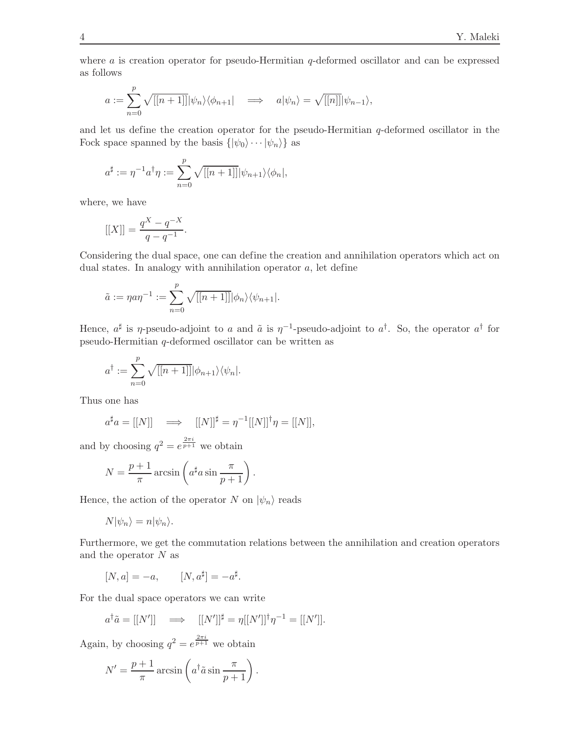where a is creation operator for pseudo-Hermitian q-deformed oscillator and can be expressed as follows

$$
a := \sum_{n=0}^{p} \sqrt{[[n+1]]} |\psi_n\rangle \langle \phi_{n+1}| \implies a|\psi_n\rangle = \sqrt{[[n]]} |\psi_{n-1}\rangle,
$$

and let us define the creation operator for the pseudo-Hermitian  $q$ -deformed oscillator in the Fock space spanned by the basis  $\{|\psi_0\rangle \cdots |\psi_n\rangle\}$  as

$$
a^{\sharp} := \eta^{-1} a^{\dagger} \eta := \sum_{n=0}^{p} \sqrt{[[n+1]]} |\psi_{n+1}\rangle \langle \phi_n|,
$$

where, we have

$$
[[X]] = \frac{q^X - q^{-X}}{q - q^{-1}}.
$$

Considering the dual space, one can define the creation and annihilation operators which act on dual states. In analogy with annihilation operator a, let define

$$
\tilde{a} := \eta a \eta^{-1} := \sum_{n=0}^p \sqrt{[[n+1]]} |\phi_n\rangle \langle \psi_{n+1}|.
$$

Hence,  $a^{\sharp}$  is  $\eta$ -pseudo-adjoint to a and  $\tilde{a}$  is  $\eta^{-1}$ -pseudo-adjoint to  $a^{\dagger}$ . So, the operator  $a^{\dagger}$  for pseudo-Hermitian q-deformed oscillator can be written as

$$
a^{\dagger} := \sum_{n=0}^{p} \sqrt{[[n+1]]} |\phi_{n+1}\rangle \langle \psi_n|.
$$

Thus one has

$$
a^{\sharp}a = [[N]] \quad \Longrightarrow \quad [[N]]^{\sharp} = \eta^{-1}[[N]]^{\dagger} \eta = [[N]],
$$

and by choosing  $q^2 = e^{\frac{2\pi i}{p+1}}$  we obtain

$$
N = \frac{p+1}{\pi} \arcsin\left(a^{\sharp} a \sin \frac{\pi}{p+1}\right).
$$

Hence, the action of the operator N on  $|\psi_n\rangle$  reads

$$
N|\psi_n\rangle = n|\psi_n\rangle.
$$

Furthermore, we get the commutation relations between the annihilation and creation operators and the operator  $N$  as

$$
[N, a] = -a, \qquad [N, a^{\sharp}] = -a^{\sharp}.
$$

For the dual space operators we can write

$$
a^{\dagger} \tilde{a} = [[N']] \implies [[N']]^{\sharp} = \eta [[N']]^{\dagger} \eta^{-1} = [[N']]
$$
.

Again, by choosing  $q^2 = e^{\frac{2\pi i}{p+1}}$  we obtain

$$
N' = \frac{p+1}{\pi} \arcsin\left(a^{\dagger} \tilde{a} \sin \frac{\pi}{p+1}\right).
$$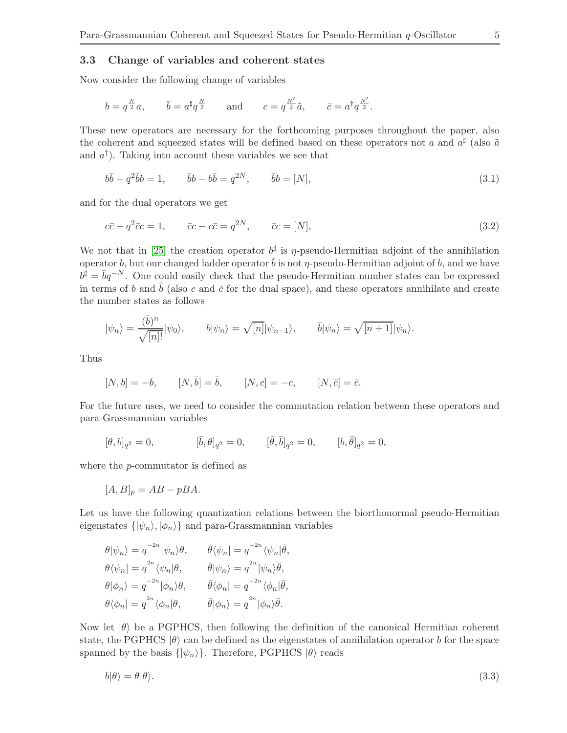## 3.3 Change of variables and coherent states

Now consider the following change of variables

$$
b = q^{\frac{N}{2}}a
$$
,  $\bar{b} = a^{\frac{a}{2}}q^{\frac{N}{2}}$  and  $c = q^{\frac{N'}{2}}\tilde{a}$ ,  $\bar{c} = a^{\frac{1}{2}}q^{\frac{N'}{2}}$ .

These new operators are necessary for the forthcoming purposes throughout the paper, also the coherent and squeezed states will be defined based on these operators not a and  $a^{\sharp}$  (also  $\tilde{a}$ and  $a^{\dagger}$ ). Taking into account these variables we see that

<span id="page-4-1"></span>
$$
b\bar{b} - q^2\bar{b}b = 1, \qquad \bar{b}b - b\bar{b} = q^{2N}, \qquad \bar{b}b = [N], \tag{3.1}
$$

and for the dual operators we get

<span id="page-4-2"></span>
$$
c\bar{c} - q^2\bar{c}c = 1, \qquad \bar{c}c - c\bar{c} = q^{2N}, \qquad \bar{c}c = [N], \tag{3.2}
$$

We not that in [\[25\]](#page-19-7) the creation operator  $b^{\sharp}$  is  $\eta$ -pseudo-Hermitian adjoint of the annihilation operator b, but our changed ladder operator  $\bar{b}$  is not  $\eta$ -pseudo-Hermitian adjoint of b, and we have  $b^{\sharp} = \bar{b}q^{-N}$ . One could easily check that the pseudo-Hermitian number states can be expressed in terms of b and  $\bar{b}$  (also c and  $\bar{c}$  for the dual space), and these operators annihilate and create the number states as follows

$$
|\psi_n\rangle = \frac{(\bar{b})^n}{\sqrt{[n]!}} |\psi_0\rangle, \qquad b|\psi_n\rangle = \sqrt{[n]} |\psi_{n-1}\rangle, \qquad \bar{b}|\psi_n\rangle = \sqrt{[n+1]} |\psi_n\rangle.
$$

Thus

$$
[N, b] = -b, \t[N, \bar{b}] = \bar{b}, \t[N, c] = -c, \t[N, \bar{c}] = \bar{c}.
$$

For the future uses, we need to consider the commutation relation between these operators and para-Grassmannian variables

$$
[\theta, b]_{q^2} = 0, \qquad [\bar{b}, \theta]_{q^2} = 0, \qquad [\bar{\theta}, \bar{b}]_{q^2} = 0, \qquad [b, \bar{\theta}]_{q^2} = 0,
$$

where the p-commutator is defined as

$$
[A,B]_p = AB - pBA.
$$

Let us have the following quantization relations between the biorthonormal pseudo-Hermitian eigenstates  $\{|\psi_n\rangle, |\phi_n\rangle\}$  and para-Grassmannian variables

$$
\theta|\psi_n\rangle = q^{-2n} |\psi_n\rangle \theta, \qquad \bar{\theta}\langle \psi_n| = q^{-2n} \langle \psi_n|\bar{\theta},
$$
  
\n
$$
\theta \langle \psi_n| = q^{2n} \langle \psi_n|\theta, \qquad \bar{\theta}|\psi_n\rangle = q^{2n} |\psi_n\rangle \bar{\theta},
$$
  
\n
$$
\theta|\phi_n\rangle = q^{-2n} |\phi_n\rangle \theta, \qquad \bar{\theta}\langle \phi_n| = q^{-2n} \langle \phi_n|\bar{\theta},
$$
  
\n
$$
\theta \langle \phi_n| = q^{2n} \langle \phi_n|\theta, \qquad \bar{\theta}|\phi_n\rangle = q^{2n} |\phi_n\rangle \bar{\theta}.
$$

Now let  $|\theta\rangle$  be a PGPHCS, then following the definition of the canonical Hermitian coherent state, the PGPHCS  $|\theta\rangle$  can be defined as the eigenstates of annihilation operator b for the space spanned by the basis  $\{|\psi_n\rangle\}$ . Therefore, PGPHCS  $|\theta\rangle$  reads

<span id="page-4-0"></span>
$$
b|\theta\rangle = \theta|\theta\rangle. \tag{3.3}
$$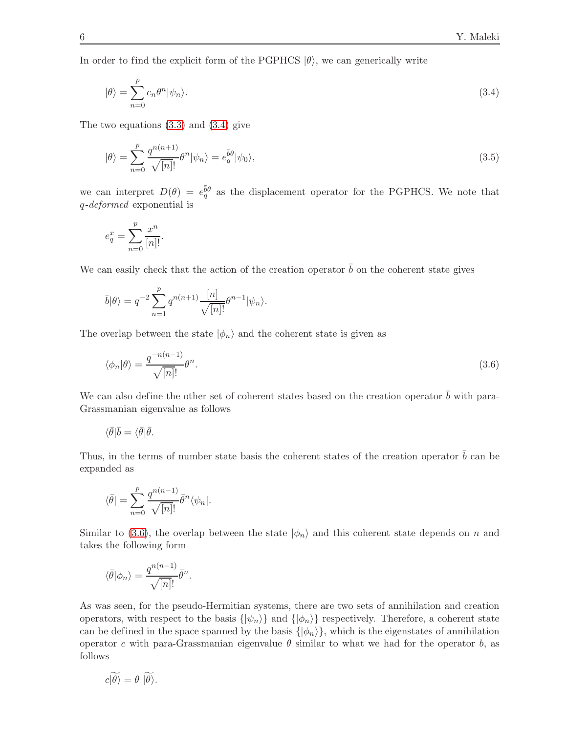In order to find the explicit form of the PGPHCS  $|\theta\rangle$ , we can generically write

<span id="page-5-0"></span>
$$
|\theta\rangle = \sum_{n=0}^{p} c_n \theta^n |\psi_n\rangle.
$$
 (3.4)

The two equations [\(3.3\)](#page-4-0) and [\(3.4\)](#page-5-0) give

<span id="page-5-2"></span>
$$
|\theta\rangle = \sum_{n=0}^{p} \frac{q^{n(n+1)}}{\sqrt{[n]!}} \theta^n |\psi_n\rangle = e_q^{\bar{b}\theta} |\psi_0\rangle,
$$
\n(3.5)

we can interpret  $D(\theta) = e_q^{\bar{b}\theta}$  as the displacement operator for the PGPHCS. We note that q*-deformed* exponential is

$$
e_q^x = \sum_{n=0}^p \frac{x^n}{[n]!}.
$$

We can easily check that the action of the creation operator  $\bar{b}$  on the coherent state gives

$$
\bar{b}|\theta\rangle = q^{-2} \sum_{n=1}^p q^{n(n+1)} \frac{[n]}{\sqrt{[n]!}} \theta^{n-1} |\psi_n\rangle.
$$

The overlap between the state  $|\phi_n\rangle$  and the coherent state is given as

<span id="page-5-1"></span>
$$
\langle \phi_n | \theta \rangle = \frac{q^{-n(n-1)}}{\sqrt{[n]!}} \theta^n. \tag{3.6}
$$

We can also define the other set of coherent states based on the creation operator  $\bar{b}$  with para-Grassmanian eigenvalue as follows

$$
\langle \bar{\theta} | \bar{b} = \langle \bar{\theta} | \bar{\theta}.
$$

Thus, in the terms of number state basis the coherent states of the creation operator  $\bar{b}$  can be expanded as

$$
\langle \bar{\theta}| = \sum_{n=0}^p \frac{q^{n(n-1)}}{\sqrt{[n]!}} \bar{\theta}^n \langle \psi_n|.
$$

Similar to [\(3.6\)](#page-5-1), the overlap between the state  $|\phi_n\rangle$  and this coherent state depends on n and takes the following form

$$
\langle \bar{\theta} | \phi_n \rangle = \frac{q^{n(n-1)}}{\sqrt{[n]!}} \bar{\theta}^n.
$$

As was seen, for the pseudo-Hermitian systems, there are two sets of annihilation and creation operators, with respect to the basis  $\{|\psi_n\rangle\}$  and  $\{|\phi_n\rangle\}$  respectively. Therefore, a coherent state can be defined in the space spanned by the basis  $\{|\phi_n\rangle\}$ , which is the eigenstates of annihilation operator c with para-Grassmanian eigenvalue  $\theta$  similar to what we had for the operator b, as follows

$$
c|\theta\rangle = \theta |\theta\rangle.
$$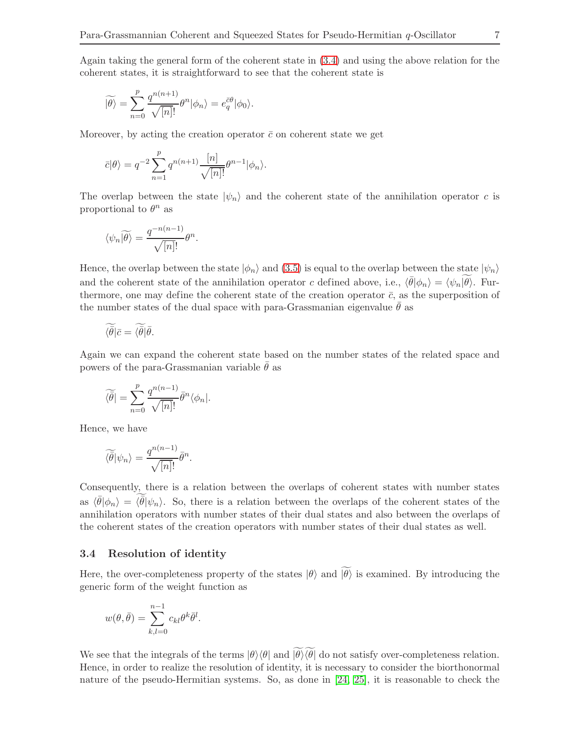Again taking the general form of the coherent state in [\(3.4\)](#page-5-0) and using the above relation for the coherent states, it is straightforward to see that the coherent state is

$$
\widetilde{|\theta\rangle} = \sum_{n=0}^{p} \frac{q^{n(n+1)}}{\sqrt{[n]!}} \theta^{n} |\phi_n\rangle = e_q^{\bar{c}\theta} |\phi_0\rangle.
$$

Moreover, by acting the creation operator  $\bar{c}$  on coherent state we get

$$
\bar{c}|\theta\rangle = q^{-2} \sum_{n=1}^p q^{n(n+1)} \frac{[n]}{\sqrt{[n]!}} \theta^{n-1} |\phi_n\rangle.
$$

The overlap between the state  $|\psi_n\rangle$  and the coherent state of the annihilation operator c is proportional to  $\theta^n$  as

$$
\langle \psi_n | \widetilde{\theta} \rangle = \frac{q^{-n(n-1)}}{\sqrt{[n]!}} \theta^n.
$$

Hence, the overlap between the state  $|\phi_n\rangle$  and [\(3.5\)](#page-5-2) is equal to the overlap between the state  $|\psi_n\rangle$ and the coherent state of the annihilation operator c defined above, i.e.,  $\langle \bar{\theta} | \phi_n \rangle = \langle \psi_n | \theta \rangle$ . Furthermore, one may define the coherent state of the creation operator  $\bar{c}$ , as the superposition of the number states of the dual space with para-Grassmanian eigenvalue  $\theta$  as

$$
\widetilde{\langle \bar{\theta} | \bar{c} = \langle \bar{\theta} | \bar{\theta}.
$$

Again we can expand the coherent state based on the number states of the related space and powers of the para-Grassmanian variable  $\theta$  as

$$
\widetilde{\langle \bar{\theta} \rangle} = \sum_{n=0}^{p} \frac{q^{n(n-1)}}{\sqrt{[n]!}} \bar{\theta}^n \langle \phi_n |.
$$

Hence, we have

$$
\widetilde{\langle \bar{\theta} |} \psi_n \rangle = \frac{q^{n(n-1)}}{\sqrt{[n]!}} \bar{\theta}^n.
$$

Consequently, there is a relation between the overlaps of coherent states with number states as  $\langle \bar{\theta} | \phi_n \rangle = \langle \bar{\theta} | \psi_n \rangle$ . So, there is a relation between the overlaps of the coherent states of the annihilation operators with number states of their dual states and also between the overlaps of the coherent states of the creation operators with number states of their dual states as well.

## 3.4 Resolution of identity

Here, the over-completeness property of the states  $|\theta\rangle$  and  $|\widetilde{\theta}\rangle$  is examined. By introducing the generic form of the weight function as

$$
w(\theta, \bar{\theta}) = \sum_{k,l=0}^{n-1} c_{kl} \theta^k \bar{\theta}^l.
$$

We see that the integrals of the terms  $|\theta\rangle\langle\theta|$  and  $|\widetilde{\theta}\rangle\langle\widetilde{\theta}|$  do not satisfy over-completeness relation. Hence, in order to realize the resolution of identity, it is necessary to consider the biorthonormal nature of the pseudo-Hermitian systems. So, as done in [\[24,](#page-19-6) [25\]](#page-19-7), it is reasonable to check the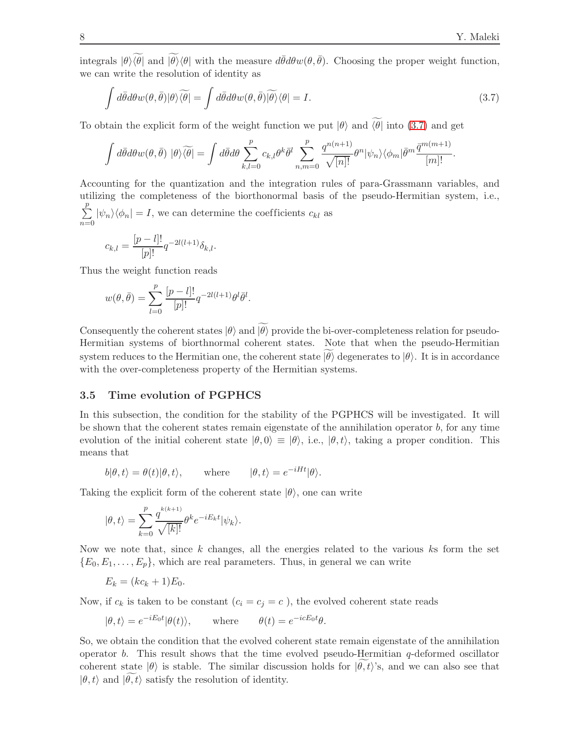integrals  $|\theta\rangle\langle\theta|$  and  $|\widetilde{\theta}\rangle\langle\theta|$  with the measure  $d\bar{\theta}d\theta w(\theta,\bar{\theta})$ . Choosing the proper weight function, we can write the resolution of identity as

<span id="page-7-0"></span>
$$
\int d\bar{\theta}d\theta w(\theta,\bar{\theta})|\theta\rangle\widetilde{\langle\theta|} = \int d\bar{\theta}d\theta w(\theta,\bar{\theta})\widetilde{|\theta\rangle}\langle\theta| = I.
$$
\n(3.7)

To obtain the explicit form of the weight function we put  $|\theta\rangle$  and  $\widetilde{\langle\theta|}$  into [\(3.7\)](#page-7-0) and get

$$
\int d\bar{\theta} d\theta w(\theta, \bar{\theta}) |\theta\rangle \widetilde{\langle \theta|} = \int d\bar{\theta} d\theta \sum_{k,l=0}^{p} c_{k,l} \theta^k \bar{\theta}^l \sum_{n,m=0}^{p} \frac{q^{n(n+1)}}{\sqrt{[n]!}} \theta^n |\psi_n\rangle \langle \phi_m| \bar{\theta}^m \frac{\bar{q}^{m(m+1)}}{[m]!}.
$$

Accounting for the quantization and the integration rules of para-Grassmann variables, and utilizing the completeness of the biorthonormal basis of the pseudo-Hermitian system, i.e.,  $\sum_{i=1}^{p}$  $\sum_{n=0} |\psi_n\rangle\langle\phi_n| = I$ , we can determine the coefficients  $c_{kl}$  as

$$
c_{k,l} = \frac{[p-l]!}{[p]!} q^{-2l(l+1)} \delta_{k,l}.
$$

Thus the weight function reads

$$
w(\theta, \bar{\theta}) = \sum_{l=0}^{p} \frac{[p-l]!}{[p]!} q^{-2l(l+1)} \theta^l \bar{\theta}^l.
$$

Consequently the coherent states  $|\theta\rangle$  and  $|\theta\rangle$  provide the bi-over-completeness relation for pseudo-Hermitian systems of biorthnormal coherent states. Note that when the pseudo-Hermitian system reduces to the Hermitian one, the coherent state  $|\theta\rangle$  degenerates to  $|\theta\rangle$ . It is in accordance with the over-completeness property of the Hermitian systems.

## 3.5 Time evolution of PGPHCS

In this subsection, the condition for the stability of the PGPHCS will be investigated. It will be shown that the coherent states remain eigenstate of the annihilation operator  $b$ , for any time evolution of the initial coherent state  $|\theta, 0\rangle \equiv |\theta\rangle$ , i.e.,  $|\theta, t\rangle$ , taking a proper condition. This means that

$$
b|\theta, t\rangle = \theta(t)|\theta, t\rangle
$$
, where  $|\theta, t\rangle = e^{-iHt}|\theta\rangle$ .

Taking the explicit form of the coherent state  $|\theta\rangle$ , one can write

$$
|\theta, t\rangle = \sum_{k=0}^{p} \frac{q^{k(k+1)}}{\sqrt{[k]!}} \theta^k e^{-iE_k t} |\psi_k\rangle.
$$

Now we note that, since  $k$  changes, all the energies related to the various  $k$ s form the set  ${E_0, E_1, \ldots, E_p}$ , which are real parameters. Thus, in general we can write

$$
E_k = (kc_k + 1)E_0.
$$

Now, if  $c_k$  is taken to be constant  $(c_i = c_j = c)$ , the evolved coherent state reads

$$
|\theta, t\rangle = e^{-iE_0t} |\theta(t)\rangle
$$
, where  $\theta(t) = e^{-icE_0t}\theta$ .

So, we obtain the condition that the evolved coherent state remain eigenstate of the annihilation operator b. This result shows that the time evolved pseudo-Hermitian  $q$ -deformed oscillator coherent state  $|\theta\rangle$  is stable. The similar discussion holds for  $|\theta, t\rangle$ 's, and we can also see that  $|\theta, t\rangle$  and  $|\theta, t\rangle$  satisfy the resolution of identity.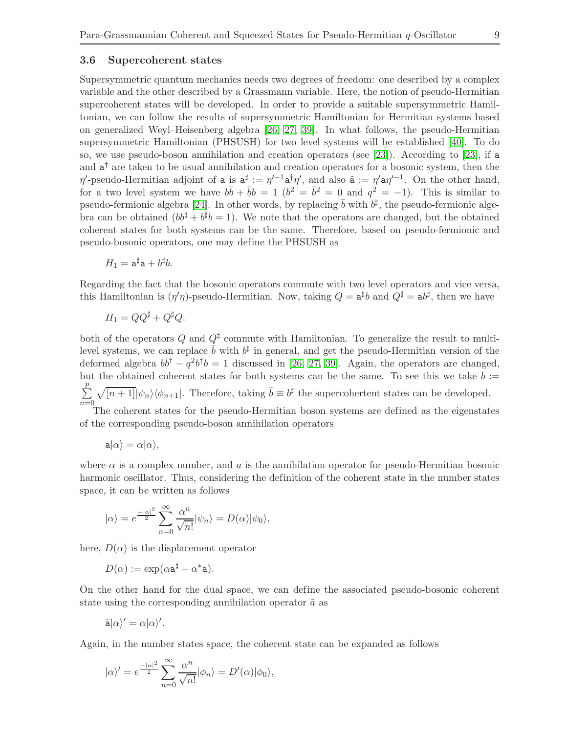## 3.6 Supercoherent states

Supersymmetric quantum mechanics needs two degrees of freedom: one described by a complex variable and the other described by a Grassmann variable. Here, the notion of pseudo-Hermitian supercoherent states will be developed. In order to provide a suitable supersymmetric Hamiltonian, we can follow the results of supersymmetric Hamiltonian for Hermitian systems based on generalized Weyl–Heisenberg algebra [\[26,](#page-19-8) [27,](#page-19-9) [39\]](#page-19-21). In what follows, the pseudo-Hermitian supersymmetric Hamiltonian (PHSUSH) for two level systems will be established [\[40\]](#page-19-22). To do so, we use pseudo-boson annihilation and creation operators (see [\[23\]](#page-19-5)). According to [\[23\]](#page-19-5), if a and  $a^{\dagger}$  are taken to be usual annihilation and creation operators for a bosonic system, then the  $\eta'$ -pseudo-Hermitian adjoint of **a** is  $a^{\sharp} := \eta'^{-1} a^{\dagger} \eta'$ , and also  $\tilde{a} := \eta' a \eta'^{-1}$ . On the other hand, for a two level system we have  $b\bar{b} + \bar{b}b = 1$   $(b^2 = \bar{b}^2 = 0$  and  $q^2 = -1$ ). This is similar to pseudo-fermionic algebra [\[24\]](#page-19-6). In other words, by replacing  $\bar{b}$  with  $b^{\sharp}$ , the pseudo-fermionic algebra can be obtained  $(bb^{\sharp} + b^{\sharp}b = 1)$ . We note that the operators are changed, but the obtained coherent states for both systems can be the same. Therefore, based on pseudo-fermionic and pseudo-bosonic operators, one may define the PHSUSH as

$$
H_1 = \mathsf{a}^\sharp \mathsf{a} + b^\sharp b.
$$

Regarding the fact that the bosonic operators commute with two level operators and vice versa, this Hamiltonian is  $(\eta'\eta)$ -pseudo-Hermitian. Now, taking  $Q = \mathbf{a}^{\sharp}b$  and  $Q^{\sharp} = \mathbf{a}b^{\sharp}$ , then we have

$$
H_1 = QQ^{\sharp} + Q^{\sharp}Q.
$$

both of the operators Q and  $Q^{\sharp}$  commute with Hamiltonian. To generalize the result to multilevel systems, we can replace  $\bar{b}$  with  $b^{\sharp}$  in general, and get the pseudo-Hermitian version of the deformed algebra  $bb^{\dagger} - q^2b^{\dagger}b = 1$  discussed in [\[26,](#page-19-8) [27,](#page-19-9) [39\]](#page-19-21). Again, the operators are changed, but the obtained coherent states for both systems can be the same. To see this we take  $b :=$  $\sum_{i=1}^{p}$  $n=0$  $\sqrt{[n+1]}|\psi_n\rangle\langle\phi_{n+1}|$ . Therefore, taking  $\bar{b}\equiv b^{\sharp}$  the supercohertent states can be developed. The coherent states for the pseudo-Hermitian boson systems are defined as the eigenstates

of the corresponding pseudo-boson annihilation operators

$$
\mathsf{a}|\alpha\rangle=\alpha|\alpha\rangle,
$$

where  $\alpha$  is a complex number, and  $\alpha$  is the annihilation operator for pseudo-Hermitian bosonic harmonic oscillator. Thus, considering the definition of the coherent state in the number states space, it can be written as follows

$$
|\alpha\rangle=e^{\frac{-|\alpha|^2}{2}}\sum_{n=0}^{\infty}\frac{\alpha^n}{\sqrt{n!}}|\psi_n\rangle=D(\alpha)|\psi_0\rangle,
$$

here,  $D(\alpha)$  is the displacement operator

$$
D(\alpha) := \exp(\alpha \mathbf{a}^{\sharp} - \alpha^* \mathbf{a}).
$$

On the other hand for the dual space, we can define the associated pseudo-bosonic coherent state using the corresponding annihilation operator  $\tilde{a}$  as

$$
\tilde{\mathbf{a}}|\alpha\rangle'=\alpha|\alpha\rangle'.
$$

Again, in the number states space, the coherent state can be expanded as follows

$$
|\alpha\rangle' = e^{\frac{-|\alpha|^2}{2}} \sum_{n=0}^{\infty} \frac{\alpha^n}{\sqrt{n!}} |\phi_n\rangle = D'(\alpha)|\phi_0\rangle,
$$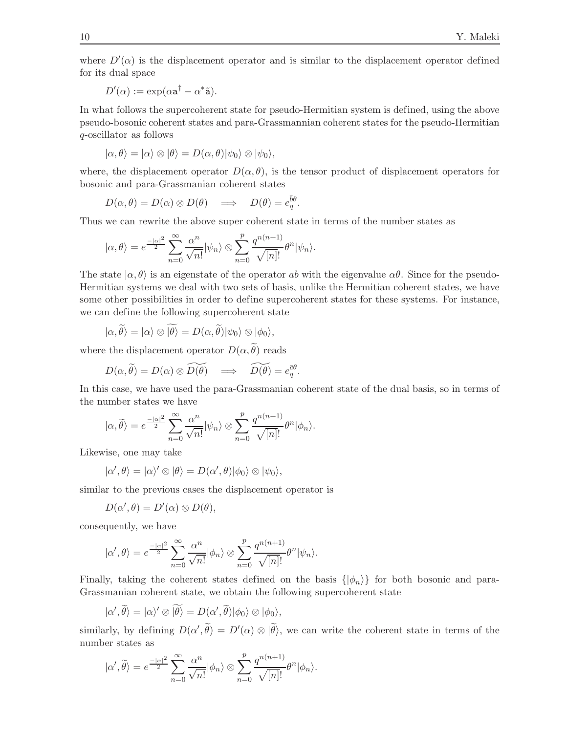where  $D'(\alpha)$  is the displacement operator and is similar to the displacement operator defined for its dual space

$$
D'(\alpha) := \exp(\alpha \mathbf{a}^\dagger - \alpha^* \tilde{\mathbf{a}}).
$$

In what follows the supercoherent state for pseudo-Hermitian system is defined, using the above pseudo-bosonic coherent states and para-Grassmannian coherent states for the pseudo-Hermitian q-oscillator as follows

$$
|\alpha, \theta\rangle = |\alpha\rangle \otimes |\theta\rangle = D(\alpha, \theta)|\psi_0\rangle \otimes |\psi_0\rangle,
$$

where, the displacement operator  $D(\alpha, \theta)$ , is the tensor product of displacement operators for bosonic and para-Grassmanian coherent states

$$
D(\alpha, \theta) = D(\alpha) \otimes D(\theta) \quad \Longrightarrow \quad D(\theta) = e_q^{\bar{b}\theta}.
$$

Thus we can rewrite the above super coherent state in terms of the number states as

$$
|\alpha, \theta\rangle = e^{\frac{-|\alpha|^2}{2}} \sum_{n=0}^{\infty} \frac{\alpha^n}{\sqrt{n!}} |\psi_n\rangle \otimes \sum_{n=0}^{p} \frac{q^{n(n+1)}}{\sqrt{[n]!}} \theta^n |\psi_n\rangle.
$$

The state  $|\alpha, \theta\rangle$  is an eigenstate of the operator ab with the eigenvalue  $\alpha\theta$ . Since for the pseudo-Hermitian systems we deal with two sets of basis, unlike the Hermitian coherent states, we have some other possibilities in order to define supercoherent states for these systems. For instance, we can define the following supercoherent state

$$
|\alpha,\widetilde{\theta}\rangle = |\alpha\rangle \otimes |\widetilde{\theta}\rangle = D(\alpha,\widetilde{\theta})|\psi_0\rangle \otimes |\phi_0\rangle,
$$

where the displacement operator  $D(\alpha, \theta)$  reads

$$
D(\alpha, \widetilde{\theta}) = D(\alpha) \otimes \widetilde{D(\theta)} \quad \Longrightarrow \quad \widetilde{D(\theta)} = e_q^{\bar{c}\theta}.
$$

In this case, we have used the para-Grassmanian coherent state of the dual basis, so in terms of the number states we have

$$
|\alpha,\widetilde{\theta}\rangle=e^{\frac{-|\alpha|^2}{2}}\sum_{n=0}^{\infty}\frac{\alpha^n}{\sqrt{n!}}|\psi_n\rangle\otimes\sum_{n=0}^p\frac{q^{n(n+1)}}{\sqrt{[n]!}}\theta^n|\phi_n\rangle.
$$

Likewise, one may take

$$
|\alpha',\theta\rangle = |\alpha\rangle' \otimes |\theta\rangle = D(\alpha',\theta)|\phi_0\rangle \otimes |\psi_0\rangle,
$$

similar to the previous cases the displacement operator is

$$
D(\alpha',\theta)=D'(\alpha)\otimes D(\theta),
$$

consequently, we have

$$
|\alpha',\theta\rangle=e^{\frac{-|\alpha|^2}{2}}\sum_{n=0}^{\infty}\frac{\alpha^n}{\sqrt{n!}}|\phi_n\rangle\otimes\sum_{n=0}^{p}\frac{q^{n(n+1)}}{\sqrt{[n]!}}\theta^n|\psi_n\rangle.
$$

Finally, taking the coherent states defined on the basis  $\{|\phi_n\rangle\}$  for both bosonic and para-Grassmanian coherent state, we obtain the following supercoherent state

$$
|\alpha', \widetilde{\theta}\rangle = |\alpha\rangle' \otimes |\widetilde{\theta}\rangle = D(\alpha', \widetilde{\theta})|\phi_0\rangle \otimes |\phi_0\rangle,
$$

similarly, by defining  $D(\alpha', \theta) = D'(\alpha) \otimes |\theta\rangle$ , we can write the coherent state in terms of the number states as

$$
|\alpha',\widetilde{\theta}\rangle=e^{\frac{-|\alpha|^2}{2}}\sum_{n=0}^{\infty}\frac{\alpha^n}{\sqrt{n!}}|\phi_n\rangle\otimes\sum_{n=0}^p\frac{q^{n(n+1)}}{\sqrt{[n]!}}\theta^n|\phi_n\rangle.
$$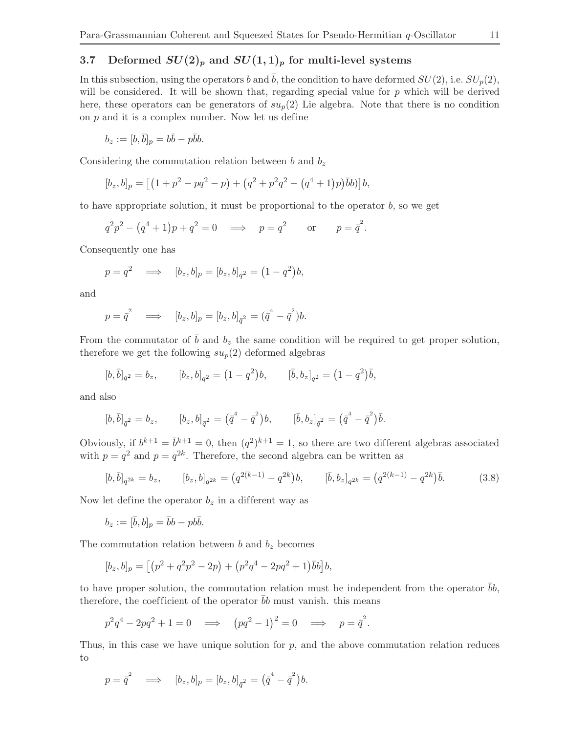## 3.7 Deformed  $SU(2)_p$  and  $SU(1,1)_p$  for multi-level systems

In this subsection, using the operators b and  $\bar{b}$ , the condition to have deformed  $SU(2)$ , i.e.  $SU_p(2)$ , will be considered. It will be shown that, regarding special value for  $p$  which will be derived here, these operators can be generators of  $su_p(2)$  Lie algebra. Note that there is no condition on  $p$  and it is a complex number. Now let us define

$$
b_z := [b, \bar{b}]_p = b\bar{b} - p\bar{b}b.
$$

Considering the commutation relation between b and  $b_z$ 

$$
[b_z, b]_p = [(1 + p^2 - pq^2 - p) + (q^2 + p^2q^2 - (q^4 + 1)p)\bar{b}b)]b,
$$

to have appropriate solution, it must be proportional to the operator  $b$ , so we get

$$
q^2p^2 - (q^4 + 1)p + q^2 = 0 \implies p = q^2
$$
 or  $p = \bar{q}^2$ .

Consequently one has

$$
p = q^2 \implies [b_z, b]_p = [b_z, b]_{q^2} = (1 - q^2)b,
$$

and

$$
p = \bar{q}^2 \implies [b_z, b]_p = [b_z, b]_{\bar{q}^2} = (\bar{q}^4 - \bar{q}^2)b.
$$

From the commutator of  $\bar{b}$  and  $b_z$  the same condition will be required to get proper solution, therefore we get the following  $su_p(2)$  deformed algebras

$$
[b, \bar{b}]_{q^2} = b_z
$$
,  $[b_z, b]_{q^2} = (1 - q^2)b$ ,  $[\bar{b}, b_z]_{q^2} = (1 - q^2)\bar{b}$ ,

and also

$$
[b,\bar{b}]_{\bar{q}^2} = b_z, \qquad [b_z, b]_{\bar{q}^2} = (\bar{q}^4 - \bar{q}^2)b, \qquad [\bar{b}, b_z]_{\bar{q}^2} = (\bar{q}^4 - \bar{q}^2)\bar{b}.
$$

Obviously, if  $b^{k+1} = \overline{b}^{k+1} = 0$ , then  $(q^2)^{k+1} = 1$ , so there are two different algebras associated with  $p = q^2$  and  $p = q^{2k}$ . Therefore, the second algebra can be written as

<span id="page-10-0"></span>
$$
[b,\bar{b}]_{q^{2k}} = b_z, \qquad [b_z, b]_{q^{2k}} = (q^{2(k-1)} - q^{2k})b, \qquad [\bar{b}, b_z]_{q^{2k}} = (q^{2(k-1)} - q^{2k})\bar{b}.
$$
 (3.8)

Now let define the operator  $b_z$  in a different way as

$$
b_z := [\bar{b}, b]_p = \bar{b}b - pb\bar{b}.
$$

The commutation relation between b and  $b_z$  becomes

$$
[b_z, b]_p = [(p^2 + q^2p^2 - 2p) + (p^2q^4 - 2pq^2 + 1)\overline{b}b]b,
$$

to have proper solution, the commutation relation must be independent from the operator  $bb$ , therefore, the coefficient of the operator  $\bar{b}b$  must vanish. this means

$$
p^2q^4 - 2pq^2 + 1 = 0 \implies (pq^2 - 1)^2 = 0 \implies p = \bar{q}^2.
$$

Thus, in this case we have unique solution for  $p$ , and the above commutation relation reduces to

$$
p = \bar{q}^2 \implies [b_z, b]_p = [b_z, b]_{\bar{q}^2} = (\bar{q}^4 - \bar{q}^2) b.
$$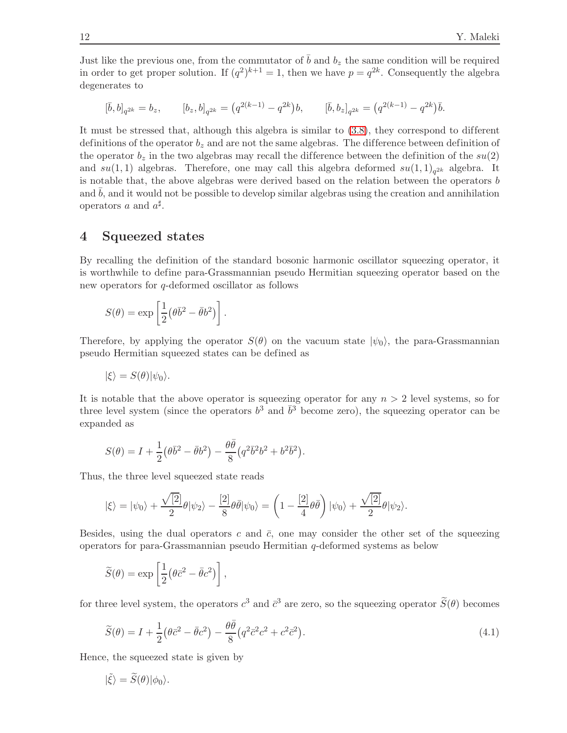Just like the previous one, from the commutator of  $\bar{b}$  and  $b_z$  the same condition will be required in order to get proper solution. If  $(q^2)^{k+1} = 1$ , then we have  $p = q^{2k}$ . Consequently the algebra degenerates to

$$
[\bar{b},b]_{q^{2k}} = b_z, \qquad [b_z,b]_{q^{2k}} = (q^{2(k-1)} - q^{2k})b, \qquad [\bar{b},b_z]_{q^{2k}} = (q^{2(k-1)} - q^{2k})\bar{b}.
$$

It must be stressed that, although this algebra is similar to  $(3.8)$ , they correspond to different definitions of the operator  $b<sub>z</sub>$  and are not the same algebras. The difference between definition of the operator  $b_z$  in the two algebras may recall the difference between the definition of the  $su(2)$ and  $su(1,1)$  algebras. Therefore, one may call this algebra deformed  $su(1,1)_{q^{2k}}$  algebra. It is notable that, the above algebras were derived based on the relation between the operators b and  $\bar{b}$ , and it would not be possible to develop similar algebras using the creation and annihilation operators a and  $a^{\sharp}$ .

## <span id="page-11-0"></span>4 Squeezed states

By recalling the definition of the standard bosonic harmonic oscillator squeezing operator, it is worthwhile to define para-Grassmannian pseudo Hermitian squeezing operator based on the new operators for q-deformed oscillator as follows

$$
S(\theta) = \exp\left[\frac{1}{2}(\theta \bar{b}^2 - \bar{\theta}b^2)\right].
$$

Therefore, by applying the operator  $S(\theta)$  on the vacuum state  $|\psi_0\rangle$ , the para-Grassmannian pseudo Hermitian squeezed states can be defined as

$$
|\xi\rangle = S(\theta)|\psi_0\rangle.
$$

It is notable that the above operator is squeezing operator for any  $n > 2$  level systems, so for three level system (since the operators  $b^3$  and  $\bar{b}^3$  become zero), the squeezing operator can be expanded as

$$
S(\theta) = I + \frac{1}{2} (\theta \bar{b}^2 - \bar{\theta} b^2) - \frac{\theta \bar{\theta}}{8} (q^2 \bar{b}^2 b^2 + b^2 \bar{b}^2).
$$

Thus, the three level squeezed state reads

$$
|\xi\rangle = |\psi_0\rangle + \frac{\sqrt{2}}{2} \theta |\psi_2\rangle - \frac{2}{8} \theta \bar{\theta} |\psi_0\rangle = \left(1 - \frac{2}{4} \theta \bar{\theta}\right) |\psi_0\rangle + \frac{\sqrt{2}}{2} \theta |\psi_2\rangle.
$$

Besides, using the dual operators c and  $\bar{c}$ , one may consider the other set of the squeezing operators for para-Grassmannian pseudo Hermitian q-deformed systems as below

$$
\widetilde{S}(\theta) = \exp\left[\frac{1}{2}(\theta \bar{c}^2 - \bar{\theta}c^2)\right],
$$

for three level system, the operators  $c^3$  and  $\bar{c}^3$  are zero, so the squeezing operator  $\tilde{S}(\theta)$  becomes

<span id="page-11-1"></span>
$$
\widetilde{S}(\theta) = I + \frac{1}{2} \left( \theta \bar{c}^2 - \bar{\theta} c^2 \right) - \frac{\theta \bar{\theta}}{8} \left( q^2 \bar{c}^2 c^2 + c^2 \bar{c}^2 \right). \tag{4.1}
$$

Hence, the squeezed state is given by

$$
|\tilde{\xi}\rangle = \tilde{S}(\theta)|\phi_0\rangle.
$$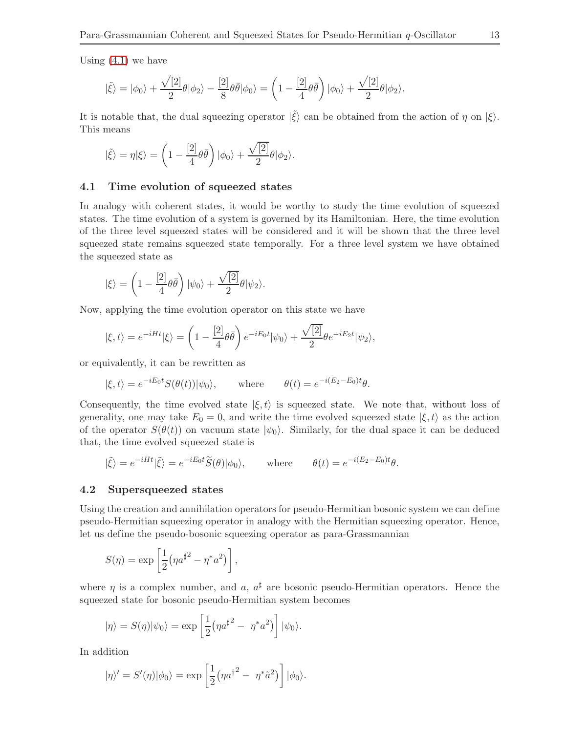Using [\(4.1\)](#page-11-1) we have

$$
|\tilde{\xi}\rangle = |\phi_0\rangle + \frac{\sqrt{2}}{2}\theta |\phi_2\rangle - \frac{2}{8}\theta \bar{\theta} |\phi_0\rangle = \left(1 - \frac{2}{4}\theta \bar{\theta}\right) |\phi_0\rangle + \frac{\sqrt{2}}{2}\theta |\phi_2\rangle.
$$

It is notable that, the dual squeezing operator  $|\tilde{\xi}\rangle$  can be obtained from the action of  $\eta$  on  $|\xi\rangle$ . This means

$$
|\tilde{\xi}\rangle = \eta |\xi\rangle = \left(1 - \frac{[2]}{4}\theta \bar{\theta}\right)|\phi_0\rangle + \frac{\sqrt{[2]}}{2}\theta|\phi_2\rangle.
$$

#### 4.1 Time evolution of squeezed states

In analogy with coherent states, it would be worthy to study the time evolution of squeezed states. The time evolution of a system is governed by its Hamiltonian. Here, the time evolution of the three level squeezed states will be considered and it will be shown that the three level squeezed state remains squeezed state temporally. For a three level system we have obtained the squeezed state as

$$
|\xi\rangle = \left(1 - \frac{[2]}{4}\theta\bar{\theta}\right)|\psi_0\rangle + \frac{\sqrt{[2]}}{2}\theta|\psi_2\rangle.
$$

Now, applying the time evolution operator on this state we have

$$
|\xi,t\rangle = e^{-iHt}|\xi\rangle = \left(1 - \frac{[2]}{4}\theta\bar{\theta}\right)e^{-iE_0t}|\psi_0\rangle + \frac{\sqrt{[2]}}{2}\theta e^{-iE_2t}|\psi_2\rangle,
$$

or equivalently, it can be rewritten as

$$
|\xi, t\rangle = e^{-iE_0t} S(\theta(t)) |\psi_0\rangle
$$
, where  $\theta(t) = e^{-i(E_2 - E_0)t} \theta$ .

Consequently, the time evolved state  $|\xi, t\rangle$  is squeezed state. We note that, without loss of generality, one may take  $E_0 = 0$ , and write the time evolved squeezed state  $|\xi, t\rangle$  as the action of the operator  $S(\theta(t))$  on vacuum state  $|\psi_0\rangle$ . Similarly, for the dual space it can be deduced that, the time evolved squeezed state is

$$
|\tilde{\xi}\rangle = e^{-iHt}|\tilde{\xi}\rangle = e^{-iE_0t}\tilde{S}(\theta)|\phi_0\rangle, \quad \text{where} \quad \theta(t) = e^{-i(E_2 - E_0)t}\theta.
$$

#### 4.2 Supersqueezed states

Using the creation and annihilation operators for pseudo-Hermitian bosonic system we can define pseudo-Hermitian squeezing operator in analogy with the Hermitian squeezing operator. Hence, let us define the pseudo-bosonic squeezing operator as para-Grassmannian

$$
S(\eta) = \exp\left[\frac{1}{2}(\eta a^{\sharp^2} - \eta^* a^2)\right],
$$

where  $\eta$  is a complex number, and a,  $a^{\sharp}$  are bosonic pseudo-Hermitian operators. Hence the squeezed state for bosonic pseudo-Hermitian system becomes

$$
|\eta\rangle = S(\eta)|\psi_0\rangle = \exp\left[\frac{1}{2}(\eta a^{\sharp^2} - \eta^* a^2)\right]|\psi_0\rangle.
$$

In addition

$$
|\eta\rangle' = S'(\eta)|\phi_0\rangle = \exp\left[\frac{1}{2}(\eta a^{\dagger^2} - \eta^*\tilde{a}^2)\right]|\phi_0\rangle.
$$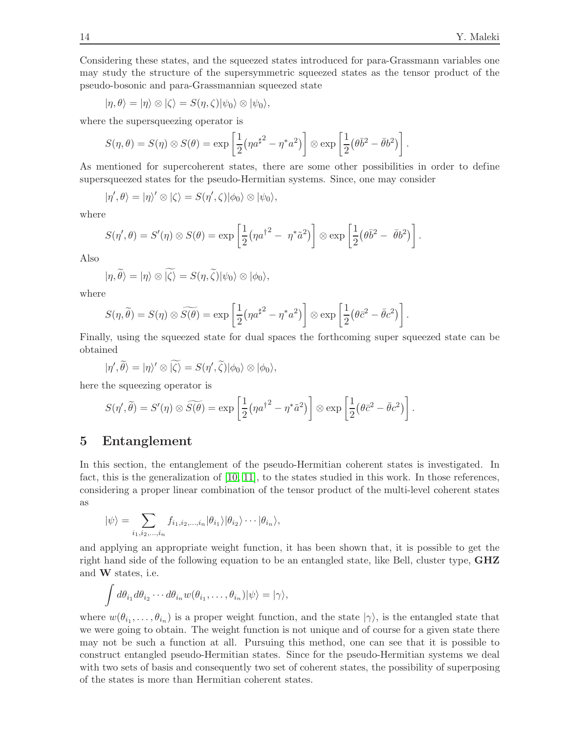Considering these states, and the squeezed states introduced for para-Grassmann variables one may study the structure of the supersymmetric squeezed states as the tensor product of the pseudo-bosonic and para-Grassmannian squeezed state

$$
|\eta, \theta\rangle = |\eta\rangle \otimes |\zeta\rangle = S(\eta, \zeta)|\psi_0\rangle \otimes |\psi_0\rangle,
$$

where the supersqueezing operator is

$$
S(\eta, \theta) = S(\eta) \otimes S(\theta) = \exp \left[\frac{1}{2}(\eta a^{\sharp^2} - \eta^* a^2)\right] \otimes \exp \left[\frac{1}{2}(\theta \overline{b}^2 - \overline{\theta}b^2)\right].
$$

As mentioned for supercoherent states, there are some other possibilities in order to define supersqueezed states for the pseudo-Hermitian systems. Since, one may consider

$$
|\eta',\theta\rangle = |\eta\rangle' \otimes |\zeta\rangle = S(\eta',\zeta)|\phi_0\rangle \otimes |\psi_0\rangle,
$$

where

$$
S(\eta',\theta) = S'(\eta) \otimes S(\theta) = \exp\left[\frac{1}{2}(\eta a^{\dagger^2} - \eta^*\tilde{a}^2)\right] \otimes \exp\left[\frac{1}{2}(\theta\bar{b}^2 - \bar{\theta}b^2)\right].
$$

Also

$$
|\eta,\widetilde{\theta}\rangle=|\eta\rangle\otimes|\widetilde{\zeta}\rangle=S(\eta,\widetilde{\zeta})|\psi_0\rangle\otimes|\phi_0\rangle,
$$

where

$$
S(\eta, \tilde{\theta}) = S(\eta) \otimes \widetilde{S(\theta)} = \exp\left[\frac{1}{2}(\eta a^{\sharp^2} - \eta^* a^2)\right] \otimes \exp\left[\frac{1}{2}(\theta \bar{c}^2 - \bar{\theta} c^2)\right].
$$

Finally, using the squeezed state for dual spaces the forthcoming super squeezed state can be obtained

$$
|\eta',\widetilde{\theta}\rangle=|\eta\rangle'\otimes\widetilde{|\zeta\rangle}=S(\eta',\widetilde{\zeta})|\phi_0\rangle\otimes|\phi_0\rangle,
$$

here the squeezing operator is

$$
S(\eta',\widetilde{\theta})=S'(\eta)\otimes \widetilde{S(\theta)}=\exp\left[\frac{1}{2}(\eta a^{\dagger^2}-\eta^*\tilde{a}^2)\right]\otimes \exp\left[\frac{1}{2}(\theta\bar{c}^2-\bar{\theta}c^2)\right].
$$

# <span id="page-13-0"></span>5 Entanglement

In this section, the entanglement of the pseudo-Hermitian coherent states is investigated. In fact, this is the generalization of [\[10,](#page-18-9) [11\]](#page-18-10), to the states studied in this work. In those references, considering a proper linear combination of the tensor product of the multi-level coherent states as

$$
|\psi\rangle = \sum_{i_1,i_2,\dots,i_n} f_{i_1,i_2,\dots,i_n} |\theta_{i_1}\rangle |\theta_{i_2}\rangle \cdots |\theta_{i_n}\rangle,
$$

and applying an appropriate weight function, it has been shown that, it is possible to get the right hand side of the following equation to be an entangled state, like Bell, cluster type, GHZ and W states, i.e.

$$
\int d\theta_{i_1} d\theta_{i_2} \cdots d\theta_{i_n} w(\theta_{i_1}, \ldots, \theta_{i_n}) |\psi\rangle = |\gamma\rangle,
$$

where  $w(\theta_{i_1}, \ldots, \theta_{i_n})$  is a proper weight function, and the state  $|\gamma\rangle$ , is the entangled state that we were going to obtain. The weight function is not unique and of course for a given state there may not be such a function at all. Pursuing this method, one can see that it is possible to construct entangled pseudo-Hermitian states. Since for the pseudo-Hermitian systems we deal with two sets of basis and consequently two set of coherent states, the possibility of superposing of the states is more than Hermitian coherent states.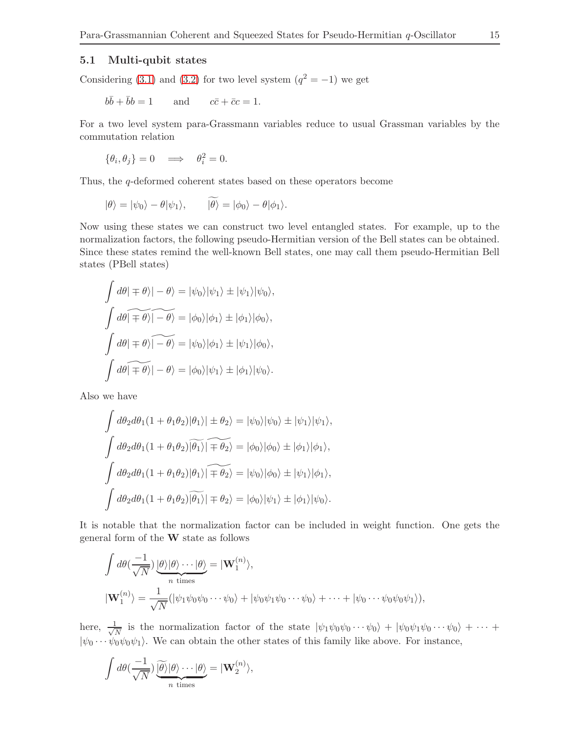## 5.1 Multi-qubit states

Considering [\(3.1\)](#page-4-1) and [\(3.2\)](#page-4-2) for two level system  $(q^2 = -1)$  we get

$$
b\overline{b} + \overline{b}b = 1
$$
 and  $c\overline{c} + \overline{c}c = 1$ .

For a two level system para-Grassmann variables reduce to usual Grassman variables by the commutation relation

$$
\{\theta_i, \theta_j\} = 0 \quad \Longrightarrow \quad \theta_i^2 = 0.
$$

Thus, the q-deformed coherent states based on these operators become

$$
|\theta\rangle = |\psi_0\rangle - \theta |\psi_1\rangle, \qquad |\theta\rangle = |\phi_0\rangle - \theta |\phi_1\rangle.
$$

Now using these states we can construct two level entangled states. For example, up to the normalization factors, the following pseudo-Hermitian version of the Bell states can be obtained. Since these states remind the well-known Bell states, one may call them pseudo-Hermitian Bell states (PBell states)

$$
\int d\theta |\mp \theta\rangle| - \theta\rangle = |\psi_0\rangle|\psi_1\rangle \pm |\psi_1\rangle|\psi_0\rangle,
$$
  

$$
\int d\theta |\mp \theta\rangle| - \theta\rangle = |\phi_0\rangle|\phi_1\rangle \pm |\phi_1\rangle|\phi_0\rangle,
$$
  

$$
\int d\theta |\mp \theta\rangle| - \theta\rangle = |\psi_0\rangle|\phi_1\rangle \pm |\psi_1\rangle|\phi_0\rangle,
$$
  

$$
\int d\theta |\mp \theta\rangle| - \theta\rangle = |\phi_0\rangle|\psi_1\rangle \pm |\phi_1\rangle|\psi_0\rangle.
$$

Also we have

$$
\int d\theta_2 d\theta_1 (1 + \theta_1 \theta_2) |\theta_1\rangle| \pm \theta_2\rangle = |\psi_0\rangle |\psi_0\rangle \pm |\psi_1\rangle |\psi_1\rangle,
$$
  

$$
\int d\theta_2 d\theta_1 (1 + \theta_1 \theta_2) |\widetilde{\theta_1}\rangle| \mp \widetilde{\theta_2}\rangle = |\phi_0\rangle |\phi_0\rangle \pm |\phi_1\rangle |\phi_1\rangle,
$$
  

$$
\int d\theta_2 d\theta_1 (1 + \theta_1 \theta_2) |\theta_1\rangle| \mp \widetilde{\theta_2}\rangle = |\psi_0\rangle |\phi_0\rangle \pm |\psi_1\rangle |\phi_1\rangle,
$$
  

$$
\int d\theta_2 d\theta_1 (1 + \theta_1 \theta_2) |\widetilde{\theta_1}\rangle| \mp \theta_2\rangle = |\phi_0\rangle |\psi_1\rangle \pm |\phi_1\rangle |\psi_0\rangle.
$$

It is notable that the normalization factor can be included in weight function. One gets the general form of the W state as follows

$$
\int d\theta \left(\frac{-1}{\sqrt{N}}\right) \underbrace{|\theta\rangle|\theta\rangle \cdots |\theta\rangle}_{n \text{ times}} = |\mathbf{W}_1^{(n)}\rangle,
$$
\n
$$
|\mathbf{W}_1^{(n)}\rangle = \frac{1}{\sqrt{N}} (|\psi_1 \psi_0 \psi_0 \cdots \psi_0\rangle + |\psi_0 \psi_1 \psi_0 \cdots \psi_0\rangle + \cdots + |\psi_0 \cdots \psi_0 \psi_0 \psi_1\rangle),
$$

here,  $\frac{1}{\sqrt{2}}$  $\frac{1}{N}$  is the normalization factor of the state  $|\psi_1\psi_0\psi_0\cdots\psi_0\rangle + |\psi_0\psi_1\psi_0\cdots\psi_0\rangle + \cdots$  $|\psi_0 \cdots \psi_0 \psi_0 \psi_1 \rangle$ . We can obtain the other states of this family like above. For instance,

$$
\int d\theta \left(\frac{-1}{\sqrt{N}}\right) \underbrace{\widetilde{\theta}\widetilde{\theta}}_{n \text{ times}} |\theta\rangle \cdots |\theta\rangle = |\mathbf{W}_{2}^{(n)}\rangle,
$$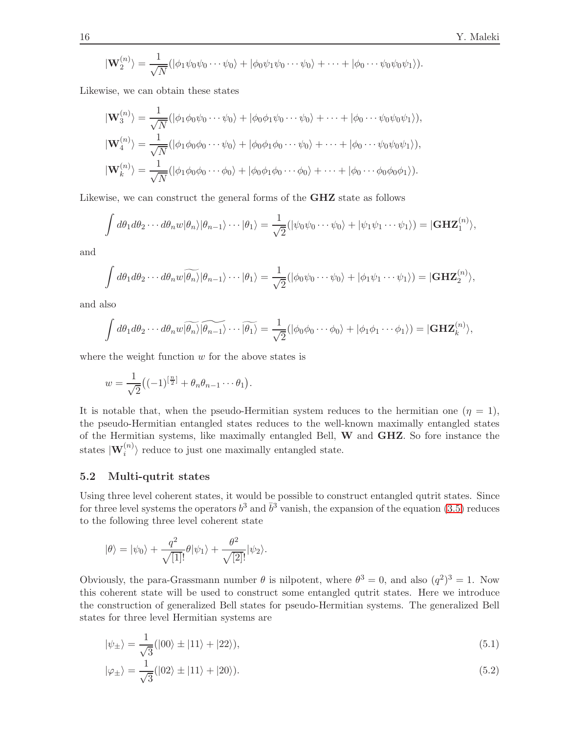$$
|\mathbf{W}_{2}^{(n)}\rangle = \frac{1}{\sqrt{N}}(|\phi_{1}\psi_{0}\psi_{0}\cdots\psi_{0}\rangle + |\phi_{0}\psi_{1}\psi_{0}\cdots\psi_{0}\rangle + \cdots + |\phi_{0}\cdots\psi_{0}\psi_{0}\psi_{1}\rangle).
$$

Likewise, we can obtain these states

$$
|\mathbf{W}_{3}^{(n)}\rangle = \frac{1}{\sqrt{N}} (|\phi_{1}\phi_{0}\psi_{0}\cdots\psi_{0}\rangle + |\phi_{0}\phi_{1}\psi_{0}\cdots\psi_{0}\rangle + \cdots + |\phi_{0}\cdots\psi_{0}\psi_{0}\psi_{1}\rangle),
$$
  
\n
$$
|\mathbf{W}_{4}^{(n)}\rangle = \frac{1}{\sqrt{N}} (|\phi_{1}\phi_{0}\phi_{0}\cdots\psi_{0}\rangle + |\phi_{0}\phi_{1}\phi_{0}\cdots\psi_{0}\rangle + \cdots + |\phi_{0}\cdots\psi_{0}\psi_{0}\psi_{1}\rangle),
$$
  
\n
$$
|\mathbf{W}_{k}^{(n)}\rangle = \frac{1}{\sqrt{N}} (|\phi_{1}\phi_{0}\phi_{0}\cdots\phi_{0}\rangle + |\phi_{0}\phi_{1}\phi_{0}\cdots\phi_{0}\rangle + \cdots + |\phi_{0}\cdots\phi_{0}\phi_{0}\phi_{1}\rangle).
$$

Likewise, we can construct the general forms of the GHZ state as follows

$$
\int d\theta_1 d\theta_2 \cdots d\theta_n w |\theta_n\rangle |\theta_{n-1}\rangle \cdots |\theta_1\rangle = \frac{1}{\sqrt{2}} (|\psi_0 \psi_0 \cdots \psi_0\rangle + |\psi_1 \psi_1 \cdots \psi_1\rangle) = |\mathbf{GHZ}_1^{(n)}\rangle,
$$

and

$$
\int d\theta_1 d\theta_2 \cdots d\theta_n w \widetilde{|\theta_n\rangle} |\theta_{n-1}\rangle \cdots |\theta_1\rangle = \frac{1}{\sqrt{2}} (|\phi_0 \psi_0 \cdots \psi_0\rangle + |\phi_1 \psi_1 \cdots \psi_1\rangle) = |\mathbf{GHZ}_2^{(n)}\rangle,
$$

and also

$$
\int d\theta_1 d\theta_2 \cdots d\theta_n w \widetilde{|\theta_n\rangle} \widetilde{|\theta_{n-1}\rangle} \cdots \widetilde{|\theta_1\rangle} = \frac{1}{\sqrt{2}} (|\phi_0 \phi_0 \cdots \phi_0\rangle + |\phi_1 \phi_1 \cdots \phi_1\rangle) = |\mathbf{GHZ}_k^{(n)}\rangle,
$$

where the weight function  $w$  for the above states is

$$
w=\frac{1}{\sqrt{2}}\big((-1)^{\left[\frac{n}{2}\right]}+\theta_n\theta_{n-1}\cdots\theta_1\big).
$$

It is notable that, when the pseudo-Hermitian system reduces to the hermitian one  $(\eta = 1)$ , the pseudo-Hermitian entangled states reduces to the well-known maximally entangled states of the Hermitian systems, like maximally entangled Bell, W and GHZ. So fore instance the states  $|\mathbf{W}_i^{(n)}\rangle$  reduce to just one maximally entangled state.

## 5.2 Multi-qutrit states

Using three level coherent states, it would be possible to construct entangled qutrit states. Since for three level systems the operators  $b^3$  and  $\bar{b}^3$  vanish, the expansion of the equation [\(3.5\)](#page-5-2) reduces to the following three level coherent state

$$
|\theta\rangle = |\psi_0\rangle + \frac{q^2}{\sqrt{[1]!}} \theta |\psi_1\rangle + \frac{\theta^2}{\sqrt{[2]!}} |\psi_2\rangle.
$$

Obviously, the para-Grassmann number  $\theta$  is nilpotent, where  $\theta^3 = 0$ , and also  $(q^2)^3 = 1$ . Now this coherent state will be used to construct some entangled qutrit states. Here we introduce the construction of generalized Bell states for pseudo-Hermitian systems. The generalized Bell states for three level Hermitian systems are

<span id="page-15-0"></span>
$$
|\psi_{\pm}\rangle = \frac{1}{\sqrt{3}}(|00\rangle \pm |11\rangle + |22\rangle),\tag{5.1}
$$

<span id="page-15-1"></span>
$$
|\varphi_{\pm}\rangle = \frac{1}{\sqrt{3}}(|02\rangle \pm |11\rangle + |20\rangle). \tag{5.2}
$$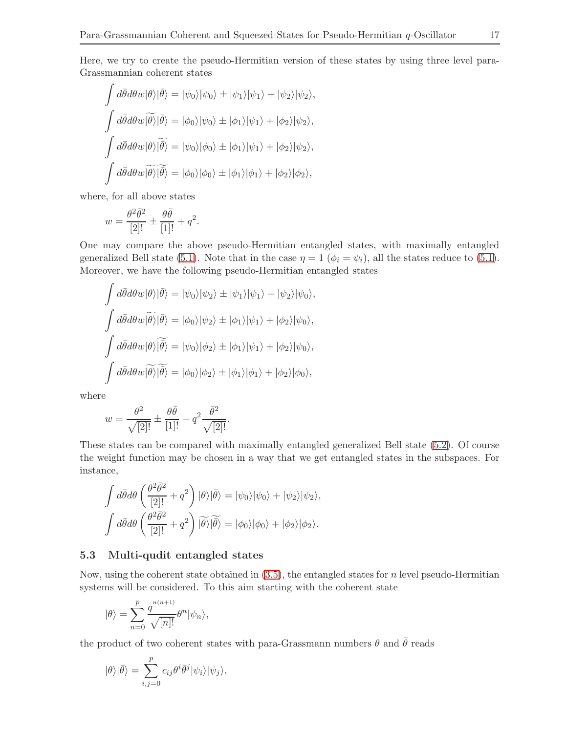Here, we try to create the pseudo-Hermitian version of these states by using three level para-Grassmannian coherent states

$$
\int d\bar{\theta} d\theta w |\theta\rangle |\bar{\theta}\rangle = |\psi_0\rangle |\psi_0\rangle \pm |\psi_1\rangle |\psi_1\rangle + |\psi_2\rangle |\psi_2\rangle,
$$
  

$$
\int d\bar{\theta} d\theta w |\bar{\theta}\rangle |\bar{\theta}\rangle = |\phi_0\rangle |\psi_0\rangle \pm |\phi_1\rangle |\psi_1\rangle + |\phi_2\rangle |\psi_2\rangle,
$$
  

$$
\int d\bar{\theta} d\theta w |\theta\rangle |\bar{\theta}\rangle = |\psi_0\rangle |\phi_0\rangle \pm |\phi_1\rangle |\psi_1\rangle + |\phi_2\rangle |\psi_2\rangle,
$$
  

$$
\int d\bar{\theta} d\theta w |\bar{\theta}\rangle |\bar{\theta}\rangle = |\phi_0\rangle |\phi_0\rangle \pm |\phi_1\rangle |\phi_1\rangle + |\phi_2\rangle |\phi_2\rangle,
$$

where, for all above states

$$
w = \frac{\theta^2 \bar{\theta}^2}{[2]!} \pm \frac{\theta \bar{\theta}}{[1]!} + q^2.
$$

One may compare the above pseudo-Hermitian entangled states, with maximally entangled generalized Bell state [\(5.1\)](#page-15-0). Note that in the case  $\eta = 1$  ( $\phi_i = \psi_i$ ), all the states reduce to (5.1). Moreover, we have the following pseudo-Hermitian entangled states

$$
\int d\bar{\theta} d\theta w |\theta\rangle |\bar{\theta}\rangle = |\psi_0\rangle |\psi_2\rangle \pm |\psi_1\rangle |\psi_1\rangle + |\psi_2\rangle |\psi_0\rangle,
$$
  

$$
\int d\bar{\theta} d\theta w |\bar{\theta}\rangle |\bar{\theta}\rangle = |\phi_0\rangle |\psi_2\rangle \pm |\phi_1\rangle |\psi_1\rangle + |\phi_2\rangle |\psi_0\rangle,
$$
  

$$
\int d\bar{\theta} d\theta w |\theta\rangle |\bar{\theta}\rangle = |\psi_0\rangle |\phi_2\rangle \pm |\phi_1\rangle |\psi_1\rangle + |\phi_2\rangle |\psi_0\rangle,
$$
  

$$
\int d\bar{\theta} d\theta w |\bar{\theta}\rangle |\bar{\theta}\rangle = |\phi_0\rangle |\phi_2\rangle \pm |\phi_1\rangle |\phi_1\rangle + |\phi_2\rangle |\phi_0\rangle,
$$

where

$$
w = \frac{\theta^2}{\sqrt{2!}} \pm \frac{\theta \bar{\theta}}{[1]!} + q^2 \frac{\bar{\theta}^2}{\sqrt{2!}}.
$$

These states can be compared with maximally entangled generalized Bell state [\(5.2\)](#page-15-1). Of course the weight function may be chosen in a way that we get entangled states in the subspaces. For instance,

$$
\int d\bar{\theta} d\theta \left( \frac{\theta^2 \bar{\theta}^2}{[2]!} + q^2 \right) |\theta\rangle |\bar{\theta}\rangle = |\psi_0\rangle |\psi_0\rangle + |\psi_2\rangle |\psi_2\rangle,
$$
  

$$
\int d\bar{\theta} d\theta \left( \frac{\theta^2 \bar{\theta}^2}{[2]!} + q^2 \right) |\widetilde{\theta}\rangle |\widetilde{\bar{\theta}\rangle} = |\phi_0\rangle |\phi_0\rangle + |\phi_2\rangle |\phi_2\rangle.
$$

## 5.3 Multi-qudit entangled states

Now, using the coherent state obtained in  $(3.5)$ , the entangled states for n level pseudo-Hermitian systems will be considered. To this aim starting with the coherent state

$$
|\theta\rangle = \sum_{n=0}^{p} \frac{q^{n(n+1)}}{\sqrt{[n]!}} \theta^{n} |\psi_n\rangle,
$$

the product of two coherent states with para-Grassmann numbers  $\theta$  and  $\bar{\theta}$  reads

$$
|\theta\rangle|\bar{\theta}\rangle = \sum_{i,j=0}^{p} c_{ij}\theta^{i}\bar{\theta}^{j}|\psi_{i}\rangle|\psi_{j}\rangle,
$$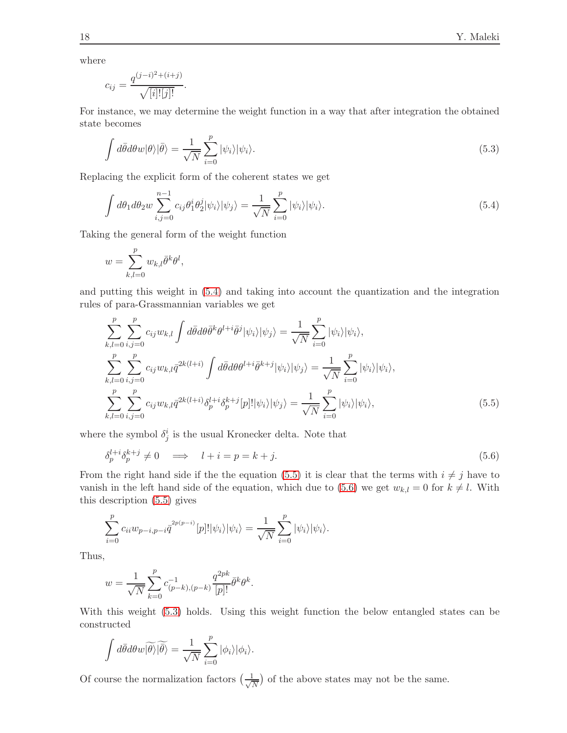where

$$
c_{ij} = \frac{q^{(j-i)^2 + (i+j)}}{\sqrt{[i]![j]!}}.
$$

For instance, we may determine the weight function in a way that after integration the obtained state becomes

<span id="page-17-3"></span>
$$
\int d\bar{\theta}d\theta w|\theta\rangle|\bar{\theta}\rangle = \frac{1}{\sqrt{N}}\sum_{i=0}^{p}|\psi_i\rangle|\psi_i\rangle.
$$
\n(5.3)

Replacing the explicit form of the coherent states we get

<span id="page-17-0"></span>
$$
\int d\theta_1 d\theta_2 w \sum_{i,j=0}^{n-1} c_{ij} \theta_1^i \theta_2^j |\psi_i\rangle |\psi_j\rangle = \frac{1}{\sqrt{N}} \sum_{i=0}^p |\psi_i\rangle |\psi_i\rangle.
$$
\n(5.4)

Taking the general form of the weight function

$$
w = \sum_{k,l=0}^{p} w_{k,l} \bar{\theta}^k \theta^l,
$$

and putting this weight in [\(5.4\)](#page-17-0) and taking into account the quantization and the integration rules of para-Grassmannian variables we get

$$
\sum_{k,l=0}^{p} \sum_{i,j=0}^{p} c_{ij} w_{k,l} \int d\bar{\theta} d\theta \bar{\theta}^{k} \theta^{l+i} \bar{\theta}^{j} |\psi_{i}\rangle |\psi_{j}\rangle = \frac{1}{\sqrt{N}} \sum_{i=0}^{p} |\psi_{i}\rangle |\psi_{i}\rangle,
$$
  

$$
\sum_{k,l=0}^{p} \sum_{i,j=0}^{p} c_{ij} w_{k,l} \bar{q}^{2k(l+i)} \int d\bar{\theta} d\theta \theta^{l+i} \bar{\theta}^{k+j} |\psi_{i}\rangle |\psi_{j}\rangle = \frac{1}{\sqrt{N}} \sum_{i=0}^{p} |\psi_{i}\rangle |\psi_{i}\rangle,
$$
  

$$
\sum_{k,l=0}^{p} \sum_{i,j=0}^{p} c_{ij} w_{k,l} \bar{q}^{2k(l+i)} \delta_{p}^{l+i} \delta_{p}^{k+j} [p]! |\psi_{i}\rangle |\psi_{j}\rangle = \frac{1}{\sqrt{N}} \sum_{i=0}^{p} |\psi_{i}\rangle |\psi_{i}\rangle,
$$
(5.5)

where the symbol  $\delta_j^i$  is the usual Kronecker delta. Note that

<span id="page-17-2"></span><span id="page-17-1"></span>
$$
\delta_p^{l+i} \delta_p^{k+j} \neq 0 \quad \Longrightarrow \quad l+i = p = k+j. \tag{5.6}
$$

From the right hand side if the the equation [\(5.5\)](#page-17-1) it is clear that the terms with  $i \neq j$  have to vanish in the left hand side of the equation, which due to [\(5.6\)](#page-17-2) we get  $w_{k,l} = 0$  for  $k \neq l$ . With this description [\(5.5\)](#page-17-1) gives

$$
\sum_{i=0}^p c_{ii} w_{p-i,p-i} \overline{q}^{2p(p-i)}[p]! |\psi_i\rangle |\psi_i\rangle = \frac{1}{\sqrt{N}} \sum_{i=0}^p |\psi_i\rangle |\psi_i\rangle.
$$

Thus,

$$
w = \frac{1}{\sqrt{N}} \sum_{k=0}^{p} c^{-1}_{(p-k),(p-k)} \frac{q^{2pk}}{[p]!} \bar{\theta}^k \theta^k.
$$

With this weight [\(5.3\)](#page-17-3) holds. Using this weight function the below entangled states can be constructed

$$
\int d\bar{\theta} d\theta w \widetilde{|\theta\rangle} \widetilde{|\theta\rangle} = \frac{1}{\sqrt{N}} \sum_{i=0}^{p} |\phi_i\rangle |\phi_i\rangle.
$$

Of course the normalization factors  $\left(\frac{1}{\sqrt{2}}\right)$  $\frac{1}{N}$ ) of the above states may not be the same.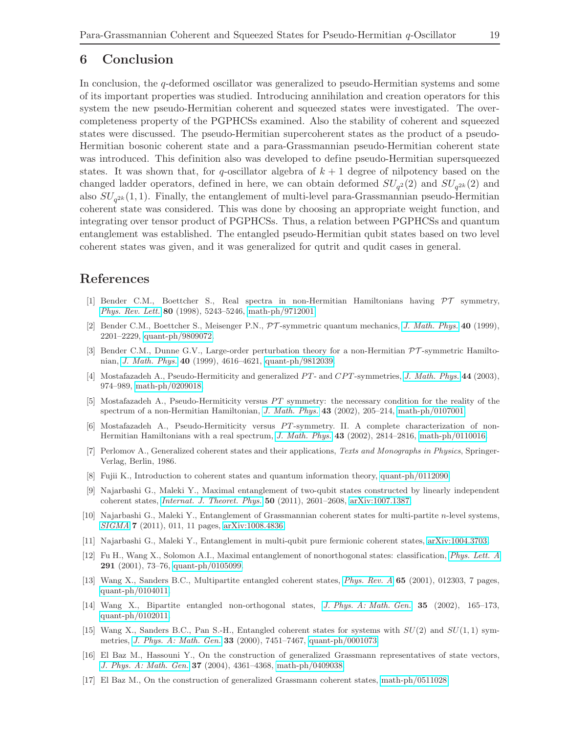# <span id="page-18-17"></span>6 Conclusion

In conclusion, the q-deformed oscillator was generalized to pseudo-Hermitian systems and some of its important properties was studied. Introducing annihilation and creation operators for this system the new pseudo-Hermitian coherent and squeezed states were investigated. The overcompleteness property of the PGPHCSs examined. Also the stability of coherent and squeezed states were discussed. The pseudo-Hermitian supercoherent states as the product of a pseudo-Hermitian bosonic coherent state and a para-Grassmannian pseudo-Hermitian coherent state was introduced. This definition also was developed to define pseudo-Hermitian supersqueezed states. It was shown that, for q-oscillator algebra of  $k + 1$  degree of nilpotency based on the changed ladder operators, defined in here, we can obtain deformed  $SU_{q^2}(2)$  and  $SU_{q^{2k}}(2)$  and also  $SU_{q^{2k}}(1,1)$ . Finally, the entanglement of multi-level para-Grassmannian pseudo-Hermitian coherent state was considered. This was done by choosing an appropriate weight function, and integrating over tensor product of PGPHCSs. Thus, a relation between PGPHCSs and quantum entanglement was established. The entangled pseudo-Hermitian qubit states based on two level coherent states was given, and it was generalized for qutrit and qudit cases in general.

# <span id="page-18-0"></span>References

- <span id="page-18-1"></span>[1] Bender C.M., Boettcher S., Real spectra in non-Hermitian Hamiltonians having PT symmetry, *[Phys. Rev. Lett.](http://dx.doi.org/10.1103/PhysRevLett.80.5243)* 80 (1998), 5243–5246, [math-ph/9712001.](http://arxiv.org/abs/math-ph/9712001)
- <span id="page-18-2"></span>[2] Bender C.M., Boettcher S., Meisenger P.N., PT -symmetric quantum mechanics, *[J. Math. Phys.](http://dx.doi.org/10.1063/1.532860)* 40 (1999), 2201–2229, [quant-ph/9809072.](http://arxiv.org/abs/quant-ph/9809072)
- <span id="page-18-3"></span>[3] Bender C.M., Dunne G.V., Large-order perturbation theory for a non-Hermitian PT -symmetric Hamiltonian, *[J. Math. Phys.](http://dx.doi.org/10.1063/1.532991)* 40 (1999), 4616–4621, [quant-ph/9812039.](http://arxiv.org/abs/quant-ph/9812039)
- <span id="page-18-4"></span>[4] Mostafazadeh A., Pseudo-Hermiticity and generalized PT- and CPT-symmetries, *[J. Math. Phys.](http://dx.doi.org/10.1063/1.1539304)* 44 (2003), 974–989, [math-ph/0209018.](http://arxiv.org/abs/math-ph/0209018)
- <span id="page-18-5"></span>[5] Mostafazadeh A., Pseudo-Hermiticity versus PT symmetry: the necessary condition for the reality of the spectrum of a non-Hermitian Hamiltonian, *[J. Math. Phys.](http://dx.doi.org/10.1063/1.1418246)* 43 (2002), 205–214, [math-ph/0107001.](http://arxiv.org/abs/math-ph/0107001)
- <span id="page-18-6"></span>[6] Mostafazadeh A., Pseudo-Hermiticity versus PT-symmetry. II. A complete characterization of non-Hermitian Hamiltonians with a real spectrum, *[J. Math. Phys.](http://dx.doi.org/10.1063/1.1461427)* 43 (2002), 2814–2816, [math-ph/0110016.](http://arxiv.org/abs/math-ph/0110016)
- <span id="page-18-7"></span>[7] Perlomov A., Generalized coherent states and their applications, *Texts and Monographs in Physics*, Springer-Verlag, Berlin, 1986.
- <span id="page-18-8"></span>[8] Fujii K., Introduction to coherent states and quantum information theory, [quant-ph/0112090.](http://arxiv.org/abs/quant-ph/0112090)
- <span id="page-18-9"></span>[9] Najarbashi G., Maleki Y., Maximal entanglement of two-qubit states constructed by linearly independent coherent states, *[Internat. J. Theoret. Phys.](http://dx.doi.org/10.1007/s10773-011-0755-5)* 50 (2011), 2601–2608, [arXiv:1007.1387.](http://arxiv.org/abs/1007.1387)
- <span id="page-18-10"></span>[10] Najarbashi G., Maleki Y., Entanglement of Grassmannian coherent states for multi-partite n-level systems, *[SIGMA](http://dx.doi.org/10.3842/SIGMA.2011.011)* 7 (2011), 011, 11 pages, [arXiv:1008.4836.](http://arxiv.org/abs/1008.4836)
- <span id="page-18-11"></span>[11] Najarbashi G., Maleki Y., Entanglement in multi-qubit pure fermionic coherent states, [arXiv:1004.3703.](http://arxiv.org/abs/1004.3703)
- <span id="page-18-12"></span>[12] Fu H., Wang X., Solomon A.I., Maximal entanglement of nonorthogonal states: classification, *[Phys. Lett. A](http://dx.doi.org/10.1016/S0375-9601(01)00720-4)* 291 (2001), 73–76, [quant-ph/0105099.](http://arxiv.org/abs/quant-ph/0105099)
- <span id="page-18-13"></span>[13] Wang X., Sanders B.C., Multipartite entangled coherent states, *[Phys. Rev. A](http://dx.doi.org/10.1103/PhysRevA.65.012303)* 65 (2001), 012303, 7 pages, [quant-ph/0104011.](http://arxiv.org/abs/quant-ph/0104011)
- <span id="page-18-14"></span>[14] Wang X., Bipartite entangled non-orthogonal states, *[J. Phys. A: Math. Gen.](http://dx.doi.org/10.1088/0305-4470/35/1/313)* 35 (2002), 165–173, [quant-ph/0102011.](http://arxiv.org/abs/quant-ph/0102011)
- <span id="page-18-15"></span>[15] Wang X., Sanders B.C., Pan S.-H., Entangled coherent states for systems with  $SU(2)$  and  $SU(1,1)$  symmetries, *[J. Phys. A: Math. Gen.](http://dx.doi.org/10.1088/0305-4470/33/41/312)* 33 (2000), 7451–7467, [quant-ph/0001073.](http://arxiv.org/abs/quant-ph/0001073)
- <span id="page-18-16"></span>[16] El Baz M., Hassouni Y., On the construction of generalized Grassmann representatives of state vectors, *[J. Phys. A: Math. Gen.](http://dx.doi.org/10.1088/0305-4470/37/15/005)* 37 (2004), 4361–4368, [math-ph/0409038.](http://arxiv.org/abs/math-ph/0409038)
- [17] El Baz M., On the construction of generalized Grassmann coherent states, [math-ph/0511028.](http://arxiv.org/abs/math-ph/0511028)